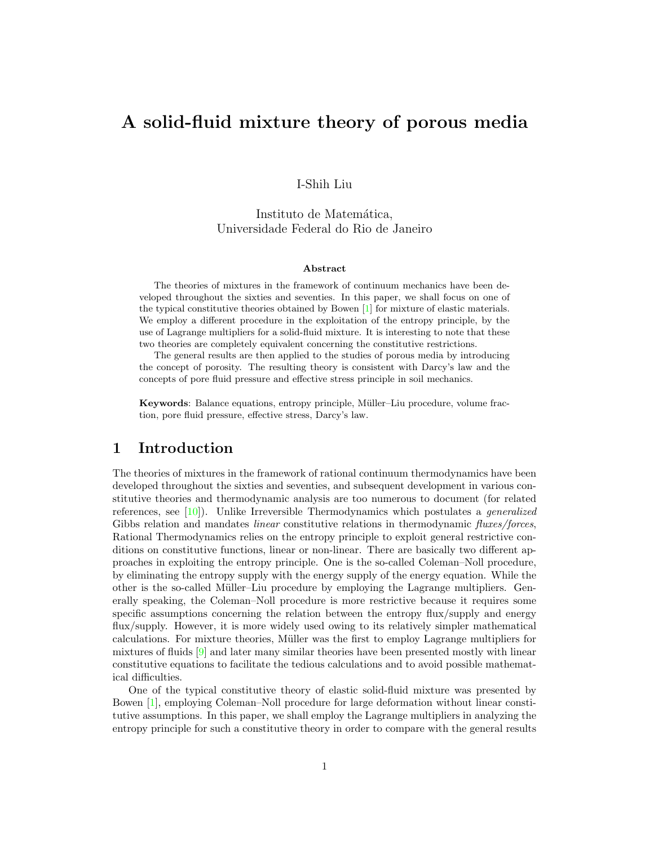# A solid-fluid mixture theory of porous media

### I-Shih Liu

Instituto de Matemática, Universidade Federal do Rio de Janeiro

#### Abstract

The theories of mixtures in the framework of continuum mechanics have been developed throughout the sixties and seventies. In this paper, we shall focus on one of the typical constitutive theories obtained by Bowen [\[1\]](#page-16-0) for mixture of elastic materials. We employ a different procedure in the exploitation of the entropy principle, by the use of Lagrange multipliers for a solid-fluid mixture. It is interesting to note that these two theories are completely equivalent concerning the constitutive restrictions.

The general results are then applied to the studies of porous media by introducing the concept of porosity. The resulting theory is consistent with Darcy's law and the concepts of pore fluid pressure and effective stress principle in soil mechanics.

Keywords: Balance equations, entropy principle, Müller-Liu procedure, volume fraction, pore fluid pressure, effective stress, Darcy's law.

### 1 Introduction

The theories of mixtures in the framework of rational continuum thermodynamics have been developed throughout the sixties and seventies, and subsequent development in various constitutive theories and thermodynamic analysis are too numerous to document (for related references, see [\[10\]](#page-17-0)). Unlike Irreversible Thermodynamics which postulates a generalized Gibbs relation and mandates *linear* constitutive relations in thermodynamic *fluxes/forces*, Rational Thermodynamics relies on the entropy principle to exploit general restrictive conditions on constitutive functions, linear or non-linear. There are basically two different approaches in exploiting the entropy principle. One is the so-called Coleman–Noll procedure, by eliminating the entropy supply with the energy supply of the energy equation. While the other is the so-called Müller–Liu procedure by employing the Lagrange multipliers. Generally speaking, the Coleman–Noll procedure is more restrictive because it requires some specific assumptions concerning the relation between the entropy flux/supply and energy flux/supply. However, it is more widely used owing to its relatively simpler mathematical calculations. For mixture theories, M¨uller was the first to employ Lagrange multipliers for mixtures of fluids [\[9\]](#page-17-1) and later many similar theories have been presented mostly with linear constitutive equations to facilitate the tedious calculations and to avoid possible mathematical difficulties.

One of the typical constitutive theory of elastic solid-fluid mixture was presented by Bowen [\[1\]](#page-16-0), employing Coleman–Noll procedure for large deformation without linear constitutive assumptions. In this paper, we shall employ the Lagrange multipliers in analyzing the entropy principle for such a constitutive theory in order to compare with the general results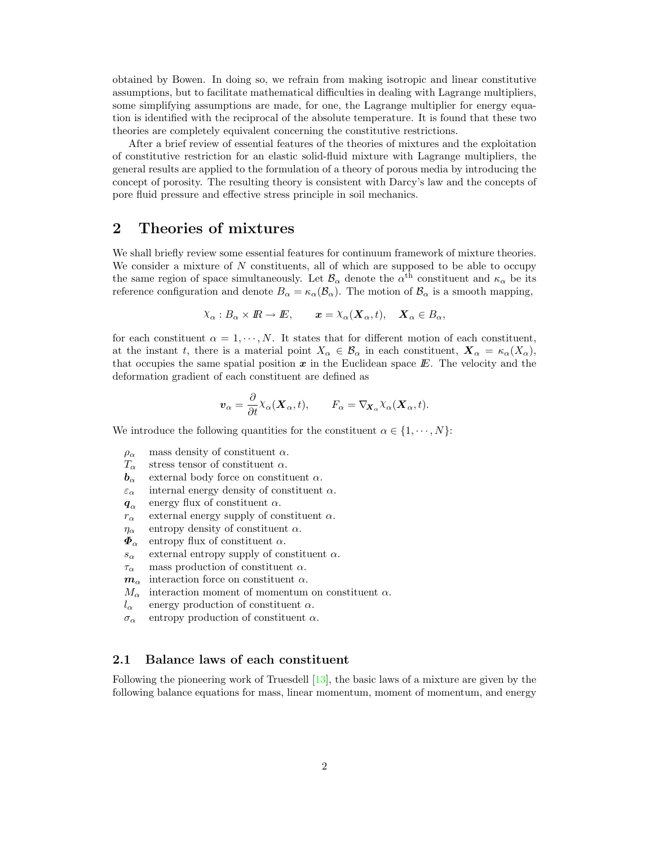obtained by Bowen. In doing so, we refrain from making isotropic and linear constitutive assumptions, but to facilitate mathematical difficulties in dealing with Lagrange multipliers, some simplifying assumptions are made, for one, the Lagrange multiplier for energy equation is identified with the reciprocal of the absolute temperature. It is found that these two theories are completely equivalent concerning the constitutive restrictions.

After a brief review of essential features of the theories of mixtures and the exploitation of constitutive restriction for an elastic solid-fluid mixture with Lagrange multipliers, the general results are applied to the formulation of a theory of porous media by introducing the concept of porosity. The resulting theory is consistent with Darcy's law and the concepts of pore fluid pressure and effective stress principle in soil mechanics.

## 2 Theories of mixtures

We shall briefly review some essential features for continuum framework of mixture theories. We consider a mixture of N constituents, all of which are supposed to be able to occupy the same region of space simultaneously. Let  $\mathcal{B}_{\alpha}$  denote the  $\alpha^{\text{th}}$  constituent and  $\kappa_{\alpha}$  be its reference configuration and denote  $B_{\alpha} = \kappa_{\alpha}(\mathcal{B}_{\alpha})$ . The motion of  $\mathcal{B}_{\alpha}$  is a smooth mapping,

$$
\chi_{\alpha}: B_{\alpha} \times I\!\!R \to I\!\!E, \qquad \pmb{x} = \chi_{\alpha}(\pmb{X}_{\alpha}, t), \quad \pmb{X}_{\alpha} \in B_{\alpha},
$$

for each constituent  $\alpha = 1, \dots, N$ . It states that for different motion of each constituent, at the instant t, there is a material point  $X_{\alpha} \in \mathcal{B}_{\alpha}$  in each constituent,  $\mathbf{X}_{\alpha} = \kappa_{\alpha}(X_{\alpha})$ , that occupies the same spatial position  $x$  in the Euclidean space  $E$ . The velocity and the deformation gradient of each constituent are defined as

$$
\boldsymbol{v}_{\alpha} = \frac{\partial}{\partial t} \chi_{\alpha}(\boldsymbol{X}_{\alpha}, t), \qquad F_{\alpha} = \nabla_{\boldsymbol{X}_{\alpha}} \chi_{\alpha}(\boldsymbol{X}_{\alpha}, t).
$$

We introduce the following quantities for the constituent  $\alpha \in \{1, \dots, N\}$ :

- 
- $\rho_{\alpha}$  mass density of constituent  $\alpha$ .<br>  $T_{\alpha}$  stress tensor of constituent  $\alpha$ . stress tensor of constituent  $\alpha$ .
- $\mathbf{b}_{\alpha}$  external body force on constituent  $\alpha$ .
- $\varepsilon_{\alpha}$  internal energy density of constituent  $\alpha$ .
- $q_\alpha$  energy flux of constituent  $\alpha$ .
- $r_{\alpha}$  external energy supply of constituent  $\alpha$ .
- $\eta_{\alpha}$  entropy density of constituent  $\alpha$ .
- $\Phi_{\alpha}$  entropy flux of constituent  $\alpha$ .
- $s_{\alpha}$  external entropy supply of constituent  $\alpha$ .
- $\tau_{\alpha}$  mass production of constituent  $\alpha$ .
- $m_{\alpha}$  interaction force on constituent  $\alpha$ .
- $M_{\alpha}$  interaction moment of momentum on constituent  $\alpha$ .
- $l_{\alpha}$  energy production of constituent  $\alpha$ .
- $\sigma_{\alpha}$  entropy production of constituent  $\alpha$ .

### <span id="page-1-0"></span>2.1 Balance laws of each constituent

Following the pioneering work of Truesdell [\[13\]](#page-17-2), the basic laws of a mixture are given by the following balance equations for mass, linear momentum, moment of momentum, and energy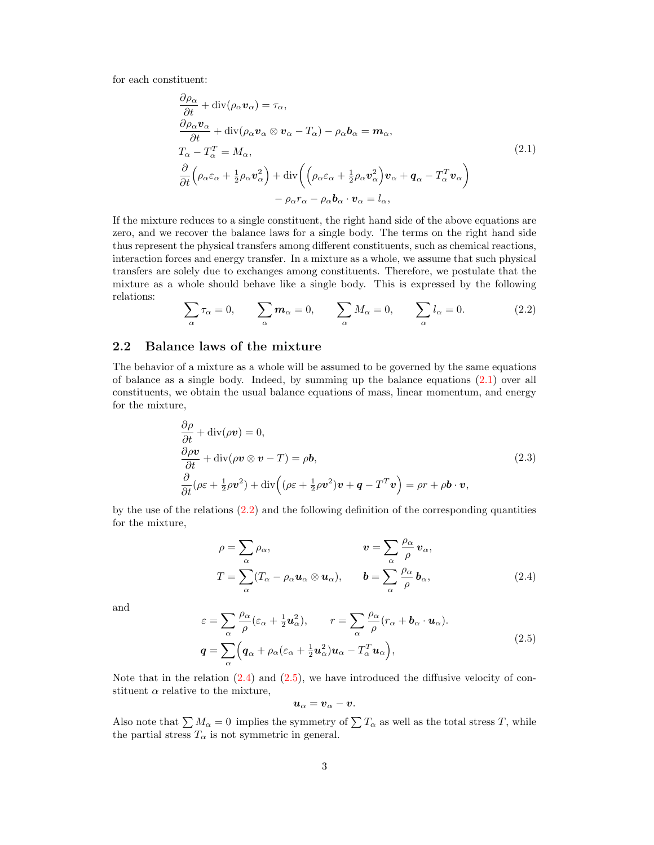for each constituent:

$$
\frac{\partial \rho_{\alpha}}{\partial t} + \text{div}(\rho_{\alpha} \mathbf{v}_{\alpha}) = \tau_{\alpha},
$$
\n
$$
\frac{\partial \rho_{\alpha} \mathbf{v}_{\alpha}}{\partial t} + \text{div}(\rho_{\alpha} \mathbf{v}_{\alpha} \otimes \mathbf{v}_{\alpha} - T_{\alpha}) - \rho_{\alpha} \mathbf{b}_{\alpha} = \mathbf{m}_{\alpha},
$$
\n
$$
T_{\alpha} - T_{\alpha}^{T} = M_{\alpha},
$$
\n
$$
\frac{\partial}{\partial t} \left( \rho_{\alpha} \varepsilon_{\alpha} + \frac{1}{2} \rho_{\alpha} \mathbf{v}_{\alpha}^{2} \right) + \text{div} \left( \left( \rho_{\alpha} \varepsilon_{\alpha} + \frac{1}{2} \rho_{\alpha} \mathbf{v}_{\alpha}^{2} \right) \mathbf{v}_{\alpha} + \mathbf{q}_{\alpha} - T_{\alpha}^{T} \mathbf{v}_{\alpha} \right)
$$
\n
$$
- \rho_{\alpha} r_{\alpha} - \rho_{\alpha} \mathbf{b}_{\alpha} \cdot \mathbf{v}_{\alpha} = l_{\alpha},
$$
\n(2.1)

If the mixture reduces to a single constituent, the right hand side of the above equations are zero, and we recover the balance laws for a single body. The terms on the right hand side thus represent the physical transfers among different constituents, such as chemical reactions, interaction forces and energy transfer. In a mixture as a whole, we assume that such physical transfers are solely due to exchanges among constituents. Therefore, we postulate that the mixture as a whole should behave like a single body. This is expressed by the following relations:

$$
\sum_{\alpha} \tau_{\alpha} = 0, \qquad \sum_{\alpha} \mathbf{m}_{\alpha} = 0, \qquad \sum_{\alpha} M_{\alpha} = 0, \qquad \sum_{\alpha} l_{\alpha} = 0. \tag{2.2}
$$

### <span id="page-2-0"></span>2.2 Balance laws of the mixture

The behavior of a mixture as a whole will be assumed to be governed by the same equations of balance as a single body. Indeed, by summing up the balance equations  $(2.1)$  over all constituents, we obtain the usual balance equations of mass, linear momentum, and energy for the mixture,

$$
\frac{\partial \rho}{\partial t} + \text{div}(\rho \mathbf{v}) = 0,
$$
  
\n
$$
\frac{\partial \rho \mathbf{v}}{\partial t} + \text{div}(\rho \mathbf{v} \otimes \mathbf{v} - T) = \rho \mathbf{b},
$$
  
\n
$$
\frac{\partial}{\partial t}(\rho \varepsilon + \frac{1}{2}\rho \mathbf{v}^2) + \text{div}\left((\rho \varepsilon + \frac{1}{2}\rho \mathbf{v}^2)\mathbf{v} + \mathbf{q} - T^T \mathbf{v}\right) = \rho r + \rho \mathbf{b} \cdot \mathbf{v},
$$
\n(2.3)

by the use of the relations [\(2.2\)](#page-1-0) and the following definition of the corresponding quantities for the mixture,

$$
\rho = \sum_{\alpha} \rho_{\alpha}, \qquad \qquad v = \sum_{\alpha} \frac{\rho_{\alpha}}{\rho} v_{\alpha},
$$

$$
T = \sum_{\alpha} (T_{\alpha} - \rho_{\alpha} u_{\alpha} \otimes u_{\alpha}), \qquad \qquad b = \sum_{\alpha} \frac{\rho_{\alpha}}{\rho} b_{\alpha}, \qquad (2.4)
$$

and

$$
\varepsilon = \sum_{\alpha} \frac{\rho_{\alpha}}{\rho} (\varepsilon_{\alpha} + \frac{1}{2} u_{\alpha}^2), \qquad r = \sum_{\alpha} \frac{\rho_{\alpha}}{\rho} (r_{\alpha} + b_{\alpha} \cdot u_{\alpha}).
$$
  

$$
q = \sum_{\alpha} \left( q_{\alpha} + \rho_{\alpha} (\varepsilon_{\alpha} + \frac{1}{2} u_{\alpha}^2) u_{\alpha} - T_{\alpha}^T u_{\alpha} \right),
$$
 (2.5)

Note that in the relation  $(2.4)$  and  $(2.5)$ , we have introduced the diffusive velocity of constituent  $\alpha$  relative to the mixture,

$$
u_{\alpha}=v_{\alpha}-v.
$$

Also note that  $\sum M_{\alpha} = 0$  implies the symmetry of  $\sum T_{\alpha}$  as well as the total stress T, while the partial stress  $T_{\alpha}$  is not symmetric in general.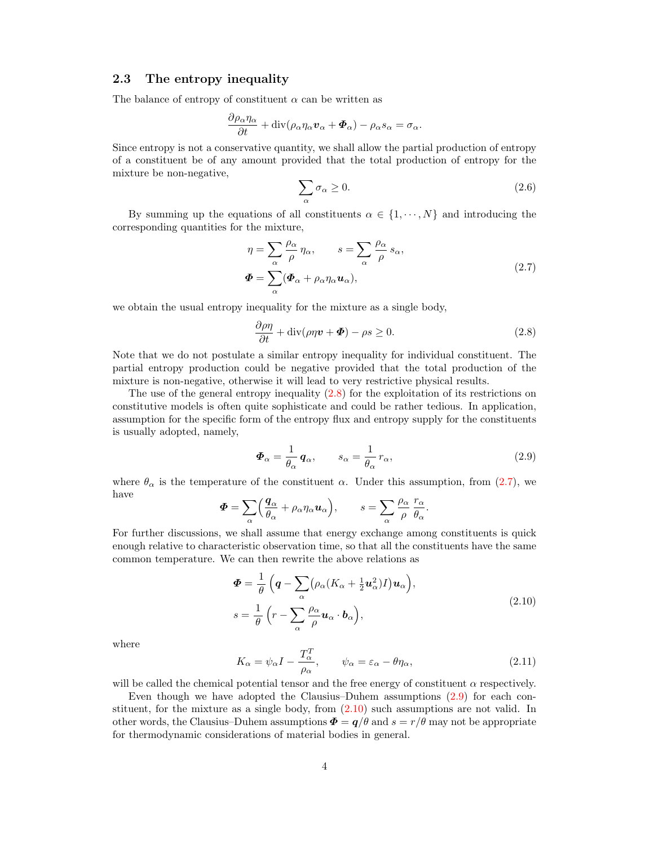#### <span id="page-3-0"></span>2.3 The entropy inequality

The balance of entropy of constituent  $\alpha$  can be written as

$$
\frac{\partial \rho_{\alpha} \eta_{\alpha}}{\partial t} + \text{div}(\rho_{\alpha} \eta_{\alpha} \boldsymbol{v}_{\alpha} + \boldsymbol{\Phi}_{\alpha}) - \rho_{\alpha} s_{\alpha} = \sigma_{\alpha}.
$$

Since entropy is not a conservative quantity, we shall allow the partial production of entropy of a constituent be of any amount provided that the total production of entropy for the mixture be non-negative,

$$
\sum_{\alpha} \sigma_{\alpha} \ge 0. \tag{2.6}
$$

By summing up the equations of all constituents  $\alpha \in \{1, \dots, N\}$  and introducing the corresponding quantities for the mixture,

$$
\eta = \sum_{\alpha} \frac{\rho_{\alpha}}{\rho} \eta_{\alpha}, \qquad s = \sum_{\alpha} \frac{\rho_{\alpha}}{\rho} s_{\alpha},
$$
  

$$
\Phi = \sum_{\alpha} (\Phi_{\alpha} + \rho_{\alpha} \eta_{\alpha} \mathbf{u}_{\alpha}),
$$
 (2.7)

we obtain the usual entropy inequality for the mixture as a single body,

$$
\frac{\partial \rho \eta}{\partial t} + \text{div}(\rho \eta \boldsymbol{v} + \boldsymbol{\Phi}) - \rho s \ge 0. \tag{2.8}
$$

Note that we do not postulate a similar entropy inequality for individual constituent. The partial entropy production could be negative provided that the total production of the mixture is non-negative, otherwise it will lead to very restrictive physical results.

The use of the general entropy inequality [\(2.8\)](#page-3-0) for the exploitation of its restrictions on constitutive models is often quite sophisticate and could be rather tedious. In application, assumption for the specific form of the entropy flux and entropy supply for the constituents is usually adopted, namely,

$$
\Phi_{\alpha} = \frac{1}{\theta_{\alpha}} \, \boldsymbol{q}_{\alpha}, \qquad s_{\alpha} = \frac{1}{\theta_{\alpha}} \, r_{\alpha}, \tag{2.9}
$$

where  $\theta_{\alpha}$  is the temperature of the constituent  $\alpha$ . Under this assumption, from [\(2.7\)](#page-3-0), we have

$$
\mathbf{\Phi} = \sum_{\alpha} \left( \frac{\mathbf{q}_{\alpha}}{\theta_{\alpha}} + \rho_{\alpha} \eta_{\alpha} \mathbf{u}_{\alpha} \right), \qquad s = \sum_{\alpha} \frac{\rho_{\alpha}}{\rho} \frac{r_{\alpha}}{\theta_{\alpha}}.
$$

For further discussions, we shall assume that energy exchange among constituents is quick enough relative to characteristic observation time, so that all the constituents have the same common temperature. We can then rewrite the above relations as

$$
\Phi = \frac{1}{\theta} \left( \mathbf{q} - \sum_{\alpha} \left( \rho_{\alpha} (K_{\alpha} + \frac{1}{2} \mathbf{u}_{\alpha}^{2}) I \right) \mathbf{u}_{\alpha} \right),
$$
  

$$
s = \frac{1}{\theta} \left( r - \sum_{\alpha} \frac{\rho_{\alpha}}{\rho} \mathbf{u}_{\alpha} \cdot \mathbf{b}_{\alpha} \right),
$$
 (2.10)

where

$$
K_{\alpha} = \psi_{\alpha}I - \frac{T_{\alpha}^{T}}{\rho_{\alpha}}, \qquad \psi_{\alpha} = \varepsilon_{\alpha} - \theta \eta_{\alpha}, \qquad (2.11)
$$

will be called the chemical potential tensor and the free energy of constituent  $\alpha$  respectively.

Even though we have adopted the Clausius–Duhem assumptions [\(2.9\)](#page-3-0) for each constituent, for the mixture as a single body, from [\(2.10\)](#page-3-0) such assumptions are not valid. In other words, the Clausius–Duhem assumptions  $\Phi = q/\theta$  and  $s = r/\theta$  may not be appropriate for thermodynamic considerations of material bodies in general.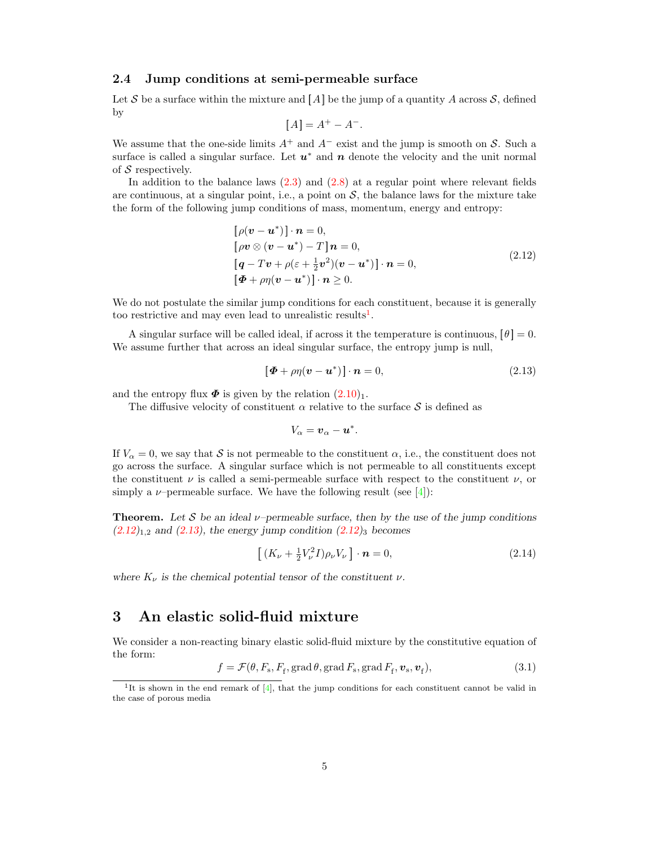#### <span id="page-4-1"></span>2.4 Jump conditions at semi-permeable surface

Let S be a surface within the mixture and  $[A]$  be the jump of a quantity A across S, defined by

$$
[A] = A^+ - A^-.
$$

We assume that the one-side limits  $A^+$  and  $A^-$  exist and the jump is smooth on S. Such a surface is called a singular surface. Let  $u^*$  and  $n$  denote the velocity and the unit normal of  $S$  respectively.

In addition to the balance laws  $(2.3)$  and  $(2.8)$  at a regular point where relevant fields are continuous, at a singular point, i.e., a point on  $S$ , the balance laws for the mixture take the form of the following jump conditions of mass, momentum, energy and entropy:

$$
[\rho(\mathbf{v} - \mathbf{u}^*)] \cdot \mathbf{n} = 0,
$$
  
\n
$$
[\rho \mathbf{v} \otimes (\mathbf{v} - \mathbf{u}^*) - T] \mathbf{n} = 0,
$$
  
\n
$$
[\mathbf{q} - T\mathbf{v} + \rho(\varepsilon + \frac{1}{2}\mathbf{v}^2)(\mathbf{v} - \mathbf{u}^*)] \cdot \mathbf{n} = 0,
$$
  
\n
$$
[\mathbf{\Phi} + \rho \eta(\mathbf{v} - \mathbf{u}^*)] \cdot \mathbf{n} \ge 0.
$$
\n(2.12)

We do not postulate the similar jump conditions for each constituent, because it is generally too restrictive and may even lead to unrealistic results<sup>[1](#page-4-0)</sup>.

A singular surface will be called ideal, if across it the temperature is continuous,  $[\theta] = 0$ . We assume further that across an ideal singular surface, the entropy jump is null,

$$
[\mathbf{\Phi} + \rho \eta (\mathbf{v} - \mathbf{u}^*)] \cdot \mathbf{n} = 0, \tag{2.13}
$$

and the entropy flux  $\Phi$  is given by the relation  $(2.10)<sub>1</sub>$  $(2.10)<sub>1</sub>$ .

The diffusive velocity of constituent  $\alpha$  relative to the surface S is defined as

$$
V_{\alpha} = \boldsymbol{v}_{\alpha} - \boldsymbol{u}^*.
$$

If  $V_\alpha = 0$ , we say that S is not permeable to the constituent  $\alpha$ , i.e., the constituent does not go across the surface. A singular surface which is not permeable to all constituents except the constituent  $\nu$  is called a semi-permeable surface with respect to the constituent  $\nu$ , or simply a  $\nu$ -permeable surface. We have the following result (see [\[4\]](#page-16-1)):

**Theorem.** Let S be an ideal  $\nu$ -permeable surface, then by the use of the jump conditions  $(2.12)_{1,2}$  $(2.12)_{1,2}$  and  $(2.13)$ , the energy jump condition  $(2.12)_{3}$  becomes

$$
\left[ \left( K_{\nu} + \frac{1}{2} V_{\nu}^2 I \right) \rho_{\nu} V_{\nu} \right] \cdot \mathbf{n} = 0, \tag{2.14}
$$

where  $K_{\nu}$  is the chemical potential tensor of the constituent  $\nu$ .

## <span id="page-4-2"></span>3 An elastic solid-fluid mixture

We consider a non-reacting binary elastic solid-fluid mixture by the constitutive equation of the form:

$$
f = \mathcal{F}(\theta, F_{\rm s}, F_{\rm f}, \text{grad }\theta, \text{grad }F_{\rm s}, \text{grad }F_{\rm f}, \mathbf{v}_{\rm s}, \mathbf{v}_{\rm f}), \tag{3.1}
$$

<span id="page-4-0"></span><sup>&</sup>lt;sup>1</sup>It is shown in the end remark of  $[4]$ , that the jump conditions for each constituent cannot be valid in the case of porous media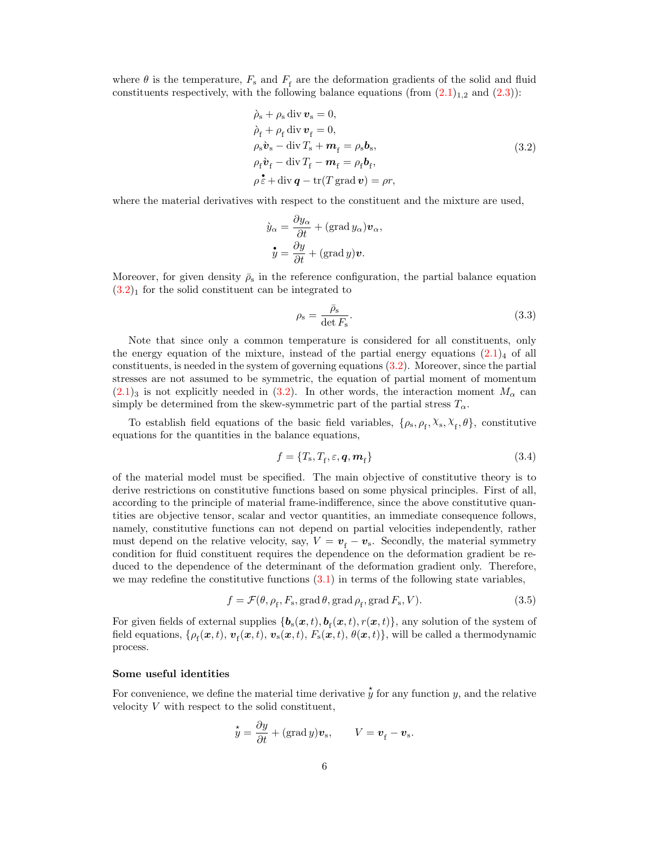where  $\theta$  is the temperature,  $F_s$  and  $F_f$  are the deformation gradients of the solid and fluid constituents respectively, with the following balance equations (from  $(2.1)_{1,2}$  $(2.1)_{1,2}$  and  $(2.3)$ ):

$$
\dot{\rho}_{s} + \rho_{s} \operatorname{div} \mathbf{v}_{s} = 0,\n\dot{\rho}_{f} + \rho_{f} \operatorname{div} \mathbf{v}_{f} = 0,\n\rho_{s} \dot{\mathbf{v}}_{s} - \operatorname{div} T_{s} + \mathbf{m}_{f} = \rho_{s} \mathbf{b}_{s},\n\rho_{f} \dot{\mathbf{v}}_{f} - \operatorname{div} T_{f} - \mathbf{m}_{f} = \rho_{f} \mathbf{b}_{f},\n\rho \dot{\mathbf{\varepsilon}} + \operatorname{div} \mathbf{q} - \operatorname{tr}(T \operatorname{grad} \mathbf{v}) = \rho r,
$$
\n(3.2)

where the material derivatives with respect to the constituent and the mixture are used,

$$
\dot{y}_{\alpha} = \frac{\partial y_{\alpha}}{\partial t} + (\text{grad } y_{\alpha}) \boldsymbol{v}_{\alpha},
$$

$$
\dot{y} = \frac{\partial y}{\partial t} + (\text{grad } y) \boldsymbol{v}.
$$

Moreover, for given density  $\bar{\rho}_s$  in the reference configuration, the partial balance equation  $(3.2)<sub>1</sub>$  $(3.2)<sub>1</sub>$  for the solid constituent can be integrated to

$$
\rho_{\rm s} = \frac{\bar{\rho}_{\rm s}}{\det F_{\rm s}}.\tag{3.3}
$$

Note that since only a common temperature is considered for all constituents, only the energy equation of the mixture, instead of the partial energy equations  $(2.1)<sub>4</sub>$  $(2.1)<sub>4</sub>$  of all constituents, is needed in the system of governing equations [\(3.2\)](#page-4-2). Moreover, since the partial stresses are not assumed to be symmetric, the equation of partial moment of momentum  $(2.1)_3$  $(2.1)_3$  is not explicitly needed in  $(3.2)$ . In other words, the interaction moment  $M_\alpha$  can simply be determined from the skew-symmetric part of the partial stress  $T_{\alpha}$ .

To establish field equations of the basic field variables,  $\{\rho_s, \rho_f, \chi_s, \chi_f, \theta\}$ , constitutive equations for the quantities in the balance equations,

$$
f = \{T_{\rm s}, T_{\rm f}, \varepsilon, \mathbf{q}, \mathbf{m}_{\rm f}\}\tag{3.4}
$$

of the material model must be specified. The main objective of constitutive theory is to derive restrictions on constitutive functions based on some physical principles. First of all, according to the principle of material frame-indifference, since the above constitutive quantities are objective tensor, scalar and vector quantities, an immediate consequence follows, namely, constitutive functions can not depend on partial velocities independently, rather must depend on the relative velocity, say,  $V = v_f - v_s$ . Secondly, the material symmetry condition for fluid constituent requires the dependence on the deformation gradient be reduced to the dependence of the determinant of the deformation gradient only. Therefore, we may redefine the constitutive functions  $(3.1)$  in terms of the following state variables,

$$
f = \mathcal{F}(\theta, \rho_{\rm f}, F_{\rm s}, \text{grad}\,\theta, \text{grad}\,\rho_{\rm f}, \text{grad}\,F_{\rm s}, V). \tag{3.5}
$$

For given fields of external supplies  $\{\boldsymbol{b}_s(\boldsymbol{x},t),\boldsymbol{b}_f(\boldsymbol{x},t),r(\boldsymbol{x},t)\}\text{, any solution of the system of }$ field equations,  $\{\rho_f(\bm{x},t),\,\bm{v}_\mathrm{f}(\bm{x},t),\,\bm{v}_\mathrm{s}(\bm{x},t),\,F_\mathrm{s}(\bm{x},t),\,\theta(\bm{x},t)\}$ , will be called a thermodynamic process.

#### Some useful identities

<span id="page-5-0"></span>For convenience, we define the material time derivative  $\check{y}$  for any function y, and the relative velocity V with respect to the solid constituent,

$$
\dot{y} = \frac{\partial y}{\partial t} + (\text{grad } y) \boldsymbol{v}_{\rm s}, \qquad V = \boldsymbol{v}_{\rm f} - \boldsymbol{v}_{\rm s}.
$$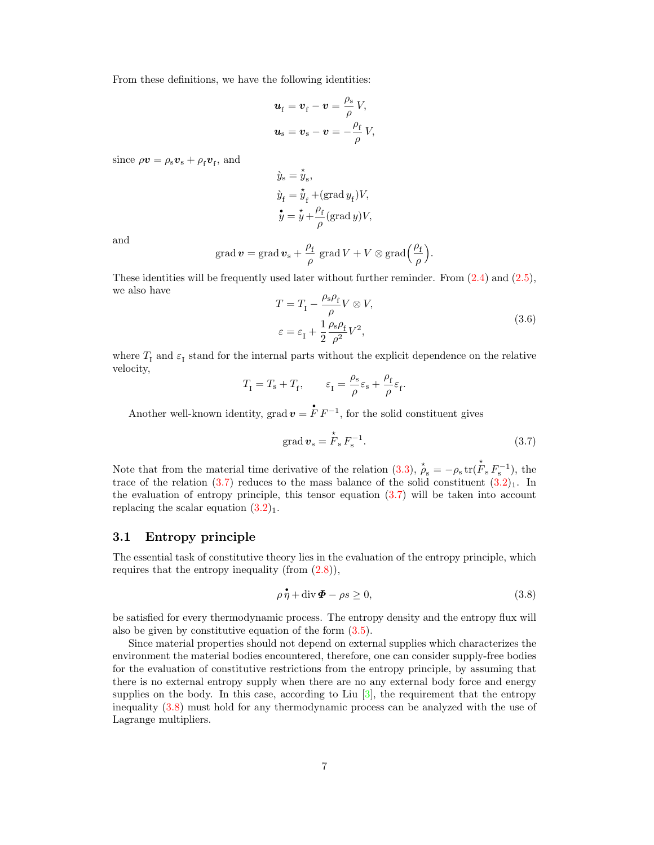From these definitions, we have the following identities:

$$
u_{\rm f} = v_{\rm f} - v = \frac{\rho_{\rm s}}{\rho} V,
$$
  

$$
u_{\rm s} = v_{\rm s} - v = -\frac{\rho_{\rm f}}{\rho} V,
$$

since  $\rho \boldsymbol{v} = \rho_{\rm s} \boldsymbol{v}_{\rm s} + \rho_{\rm f} \boldsymbol{v}_{\rm f}$ , and

$$
\dot{y}_{s} = \dot{y}_{s},
$$
  

$$
\dot{y}_{f} = \dot{y}_{f} + (\text{grad } y_{f})V,
$$
  

$$
\dot{y} = \dot{y} + \frac{\rho_{f}}{\rho}(\text{grad } y)V,
$$

and

$$
\operatorname{grad} \boldsymbol{v} = \operatorname{grad} \boldsymbol{v}_{\rm s} + \frac{\rho_{\rm f}}{\rho} \operatorname{grad} V + V \otimes \operatorname{grad} \left( \frac{\rho_{\rm f}}{\rho} \right).
$$

These identities will be frequently used later without further reminder. From [\(2.4\)](#page-2-0) and [\(2.5\)](#page-2-0), we also have

$$
T = T_{\rm I} - \frac{\rho_{\rm s}\rho_{\rm f}}{\rho} V \otimes V,
$$
  

$$
\varepsilon = \varepsilon_{\rm I} + \frac{1}{2} \frac{\rho_{\rm s}\rho_{\rm f}}{\rho^2} V^2,
$$
 (3.6)

where  $T_{\rm I}$  and  $\varepsilon_{\rm I}$  stand for the internal parts without the explicit dependence on the relative velocity,

$$
T_{\rm I} = T_{\rm s} + T_{\rm f}, \qquad \varepsilon_{\rm I} = \frac{\rho_{\rm s}}{\rho} \varepsilon_{\rm s} + \frac{\rho_{\rm f}}{\rho} \varepsilon_{\rm f}.
$$

Another well-known identity, grad  $\mathbf{v} = \mathbf{F} F^{-1}$ , for the solid constituent gives

$$
\operatorname{grad} \boldsymbol{v}_{\mathrm{s}} = \dot{\boldsymbol{F}}_{\mathrm{s}} \boldsymbol{F}_{\mathrm{s}}^{-1}.
$$
\n
$$
(3.7)
$$

Note that from the material time derivative of the relation [\(3.3\)](#page-4-2),  $\phi_s = -\rho_s \text{tr}(\mathring{F}_s F_s^{-1})$ , the trace of the relation [\(3.7\)](#page-5-0) reduces to the mass balance of the solid constituent  $(3.2)_1$  $(3.2)_1$ . In the evaluation of entropy principle, this tensor equation  $(3.7)$  will be taken into account replacing the scalar equation  $(3.2)_1$  $(3.2)_1$ .

### <span id="page-6-0"></span>3.1 Entropy principle

The essential task of constitutive theory lies in the evaluation of the entropy principle, which requires that the entropy inequality (from  $(2.8)$ ),

$$
\rho \eta + \text{div} \, \Phi - \rho s \ge 0,\tag{3.8}
$$

be satisfied for every thermodynamic process. The entropy density and the entropy flux will also be given by constitutive equation of the form [\(3.5\)](#page-4-2).

Since material properties should not depend on external supplies which characterizes the environment the material bodies encountered, therefore, one can consider supply-free bodies for the evaluation of constitutive restrictions from the entropy principle, by assuming that there is no external entropy supply when there are no any external body force and energy supplies on the body. In this case, according to Liu  $[3]$ , the requirement that the entropy inequality [\(3.8\)](#page-6-0) must hold for any thermodynamic process can be analyzed with the use of Lagrange multipliers.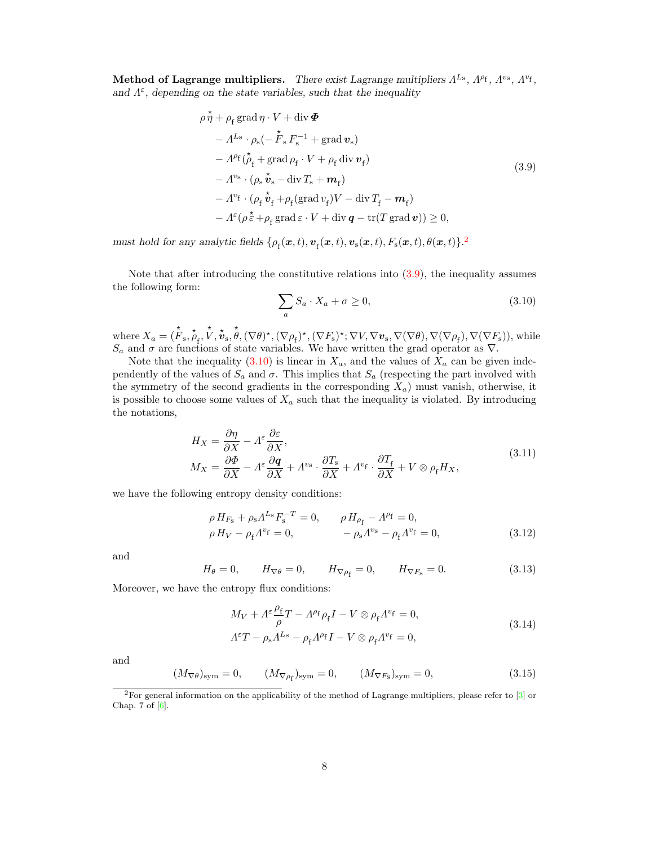Method of Lagrange multipliers. There exist Lagrange multipliers  $\Lambda^{L_s}, \Lambda^{\rho_f}, \Lambda^{v_s}, \Lambda^{v_f},$ and  $\Lambda^{\varepsilon}$ , depending on the state variables, such that the inequality

$$
\rho \dot{\eta} + \rho_{\text{f}} \text{grad } \eta \cdot V + \text{div } \Phi
$$
  
\n
$$
- \Lambda^{L_{\text{S}}} \cdot \rho_{\text{s}} (-\dot{F}_{\text{s}} F_{\text{s}}^{-1} + \text{grad } v_{\text{s}})
$$
  
\n
$$
- \Lambda^{\rho_{\text{f}}} (\dot{\rho}_{\text{f}} + \text{grad } \rho_{\text{f}} \cdot V + \rho_{\text{f}} \text{ div } v_{\text{f}})
$$
  
\n
$$
- \Lambda^{v_{\text{s}}} \cdot (\rho_{\text{s}} \dot{v}_{\text{s}} - \text{div } T_{\text{s}} + m_{\text{f}})
$$
  
\n
$$
- \Lambda^{v_{\text{f}}} \cdot (\rho_{\text{f}} \dot{v}_{\text{f}} + \rho_{\text{f}} (\text{grad } v_{\text{f}}) V - \text{div } T_{\text{f}} - m_{\text{f}})
$$
  
\n
$$
- \Lambda^{\varepsilon} (\rho \dot{\xi} + \rho_{\text{f}} \text{grad } \varepsilon \cdot V + \text{div } q - \text{tr} (T \text{ grad } v)) \ge 0,
$$
\n(3.9)

must hold for any analytic fields  $\{\rho_f(\bm{x},t),\bm{v}_f(\bm{x},t),\bm{v}_s(\bm{x},t),F_s(\bm{x},t),\theta(\bm{x},t)\}$ .<sup>[2](#page-7-0)</sup>

Note that after introducing the constitutive relations into [\(3.9\)](#page-6-0), the inequality assumes the following form:

$$
\sum_{a} S_a \cdot X_a + \sigma \ge 0,\tag{3.10}
$$

where  $X_a = (\stackrel{\star}{F}_s, \stackrel{\star}{\rho}_f, \stackrel{\star}{V}, \stackrel{\star}{v}_s, \stackrel{\star}{\theta}, (\nabla \theta)^{\star}, (\nabla \rho_f)^{\star}, (\nabla F_s)^{\star}; \nabla V, \nabla v_s, \nabla (\nabla \theta), \nabla (\nabla \rho_f), \nabla (\nabla F_s)),$  while  $S_a$  and  $\sigma$  are functions of state variables. We have written the grad operator as  $\nabla$ .

Note that the inequality  $(3.10)$  is linear in  $X_a$ , and the values of  $X_a$  can be given independently of the values of  $S_a$  and  $\sigma$ . This implies that  $S_a$  (respecting the part involved with the symmetry of the second gradients in the corresponding  $X_a$ ) must vanish, otherwise, it is possible to choose some values of  $X_a$  such that the inequality is violated. By introducing the notations,

$$
H_X = \frac{\partial \eta}{\partial X} - A^{\varepsilon} \frac{\partial \varepsilon}{\partial X},
$$
  
\n
$$
M_X = \frac{\partial \Phi}{\partial X} - A^{\varepsilon} \frac{\partial \mathbf{q}}{\partial X} + A^{vs} \cdot \frac{\partial T_s}{\partial X} + A^{v_f} \cdot \frac{\partial T_f}{\partial X} + V \otimes \rho_f H_X,
$$
\n(3.11)

we have the following entropy density conditions:

$$
\rho H_{F_{\rm s}} + \rho_{\rm s} \Lambda^{L_{\rm s}} F_{\rm s}^{-T} = 0, \qquad \rho H_{\rho_{\rm f}} - \Lambda^{\rho_{\rm f}} = 0, \rho H_V - \rho_{\rm f} \Lambda^{\nu_{\rm f}} = 0, \qquad -\rho_{\rm s} \Lambda^{\nu_{\rm s}} - \rho_{\rm f} \Lambda^{\nu_{\rm f}} = 0,
$$
\n(3.12)

and

 $H_{\theta} = 0, \qquad H_{\nabla \theta} = 0, \qquad H_{\nabla \rho_{\rm f}} = 0, \qquad H_{\nabla F_{\rm s}} = 0.$  (3.13)

Moreover, we have the entropy flux conditions:

$$
M_V + \Lambda^{\epsilon} \frac{\rho_f}{\rho} T - \Lambda^{\rho_f} \rho_f I - V \otimes \rho_f \Lambda^{v_f} = 0,
$$
  

$$
\Lambda^{\epsilon} T - \rho_s \Lambda^{L_s} - \rho_f \Lambda^{\rho_f} I - V \otimes \rho_f \Lambda^{v_f} = 0,
$$
 (3.14)

and

$$
(M_{\nabla\theta})_{\text{sym}} = 0, \qquad (M_{\nabla\rho_f})_{\text{sym}} = 0, \qquad (M_{\nabla F_s})_{\text{sym}} = 0,
$$
\n(3.15)

<span id="page-7-0"></span><sup>2</sup>For general information on the applicability of the method of Lagrange multipliers, please refer to [\[3\]](#page-16-2) or Chap. 7 of  $[6]$ .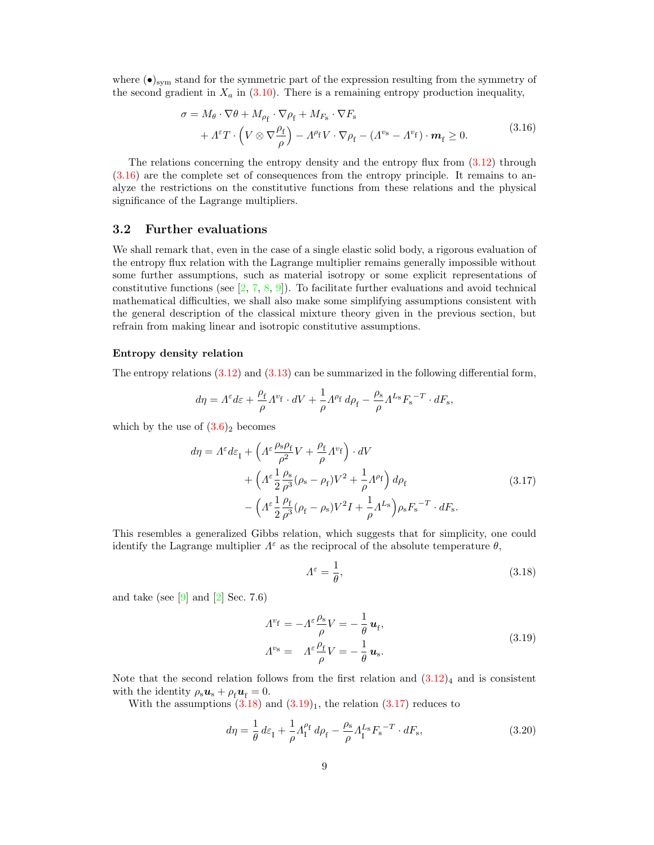where  $(\bullet)_{sym}$  stand for the symmetric part of the expression resulting from the symmetry of the second gradient in  $X_a$  in [\(3.10\)](#page-6-0). There is a remaining entropy production inequality,

$$
\sigma = M_{\theta} \cdot \nabla \theta + M_{\rho_{\text{f}}} \cdot \nabla \rho_{\text{f}} + M_{F_{\text{s}}} \cdot \nabla F_{\text{s}} + A^{\varepsilon} T \cdot \left( V \otimes \nabla \frac{\rho_{\text{f}}}{\rho} \right) - A^{\rho_{\text{f}}} V \cdot \nabla \rho_{\text{f}} - (A^{v_{\text{s}}} - A^{v_{\text{f}}} ) \cdot \mathbf{m}_{\text{f}} \ge 0.
$$
(3.16)

The relations concerning the entropy density and the entropy flux from [\(3.12\)](#page-6-0) through [\(3.16\)](#page-6-0) are the complete set of consequences from the entropy principle. It remains to analyze the restrictions on the constitutive functions from these relations and the physical significance of the Lagrange multipliers.

#### 3.2 Further evaluations

We shall remark that, even in the case of a single elastic solid body, a rigorous evaluation of the entropy flux relation with the Lagrange multiplier remains generally impossible without some further assumptions, such as material isotropy or some explicit representations of constitutive functions (see  $[2, 7, 8, 9]$  $[2, 7, 8, 9]$  $[2, 7, 8, 9]$  $[2, 7, 8, 9]$  $[2, 7, 8, 9]$  $[2, 7, 8, 9]$  $[2, 7, 8, 9]$ ). To facilitate further evaluations and avoid technical mathematical difficulties, we shall also make some simplifying assumptions consistent with the general description of the classical mixture theory given in the previous section, but refrain from making linear and isotropic constitutive assumptions.

#### Entropy density relation

<span id="page-8-0"></span>The entropy relations [\(3.12\)](#page-6-0) and [\(3.13\)](#page-6-0) can be summarized in the following differential form,

$$
d\eta = A^\varepsilon d\varepsilon + \frac{\rho_{\mathrm{f}}}{\rho} A^{v_{\mathrm{f}}}\cdot dV + \frac{1}{\rho} A^{\rho_{\mathrm{f}}} \,d\rho_{\mathrm{f}} - \frac{\rho_{\mathrm{s}}}{\rho} A^{L_{\mathrm{S}}} {F_{\mathrm{s}}}^{-T} \cdot dF_{\mathrm{s}},
$$

which by the use of  $(3.6)_2$  $(3.6)_2$  becomes

$$
d\eta = A^{\varepsilon} d\varepsilon_{I} + \left( A^{\varepsilon} \frac{\rho_{s}\rho_{f}}{\rho^{2}} V + \frac{\rho_{f}}{\rho} A^{v_{f}} \right) \cdot dV
$$
  
+ 
$$
\left( A^{\varepsilon} \frac{1}{2} \frac{\rho_{s}}{\rho^{3}} (\rho_{s} - \rho_{f}) V^{2} + \frac{1}{\rho} A^{\rho_{f}} \right) d\rho_{f}
$$
  
- 
$$
\left( A^{\varepsilon} \frac{1}{2} \frac{\rho_{f}}{\rho^{3}} (\rho_{f} - \rho_{s}) V^{2} I + \frac{1}{\rho} A^{L_{s}} \right) \rho_{s} F_{s}^{-T} \cdot dF_{s}.
$$
 (3.17)

This resembles a generalized Gibbs relation, which suggests that for simplicity, one could identify the Lagrange multiplier  $\Lambda^{\varepsilon}$  as the reciprocal of the absolute temperature  $\theta$ ,

$$
\Lambda^{\varepsilon} = \frac{1}{\theta},\tag{3.18}
$$

and take (see [\[9\]](#page-17-1) and [\[2\]](#page-16-3) Sec. 7.6)

$$
A^{v_{\rm f}} = -A^{\varepsilon} \frac{\rho_{\rm s}}{\rho} V = -\frac{1}{\theta} \mathbf{u}_{\rm f},
$$
  
\n
$$
A^{v_{\rm s}} = A^{\varepsilon} \frac{\rho_{\rm f}}{\rho} V = -\frac{1}{\theta} \mathbf{u}_{\rm s}.
$$
\n(3.19)

Note that the second relation follows from the first relation and  $(3.12)_4$  $(3.12)_4$  and is consistent with the identity  $\rho_s \mathbf{u}_s + \rho_f \mathbf{u}_f = 0.$ 

With the assumptions  $(3.18)$  and  $(3.19)<sub>1</sub>$  $(3.19)<sub>1</sub>$ , the relation  $(3.17)$  reduces to

$$
d\eta = \frac{1}{\theta} d\varepsilon_{\rm I} + \frac{1}{\rho} \Lambda_{\rm I}^{\rho_{\rm f}} d\rho_{\rm f} - \frac{\rho_{\rm s}}{\rho} \Lambda_{\rm I}^{L_{\rm s}} F_{\rm s}^{-T} \cdot dF_{\rm s},\tag{3.20}
$$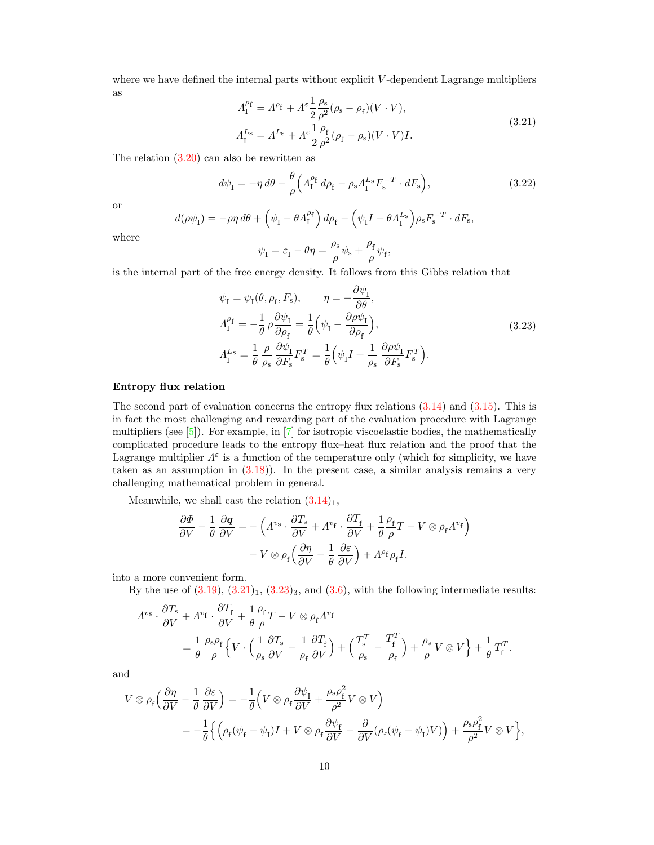where we have defined the internal parts without explicit V-dependent Lagrange multipliers as

$$
A_{\rm I}^{\rho_{\rm f}} = A^{\rho_{\rm f}} + A^{\varepsilon} \frac{1}{2} \frac{\rho_{\rm s}}{\rho^2} (\rho_{\rm s} - \rho_{\rm f}) (V \cdot V),
$$
  
\n
$$
A_{\rm I}^{L_{\rm s}} = A^{L_{\rm s}} + A^{\varepsilon} \frac{1}{2} \frac{\rho_{\rm f}}{\rho^2} (\rho_{\rm f} - \rho_{\rm s}) (V \cdot V) I.
$$
\n(3.21)

The relation [\(3.20\)](#page-8-0) can also be rewritten as

$$
d\psi_{\mathcal{I}} = -\eta \, d\theta - \frac{\theta}{\rho} \Big( \Lambda_{\mathcal{I}}^{\rho_{\mathcal{f}}} d\rho_{\mathcal{f}} - \rho_{\mathcal{S}} \Lambda_{\mathcal{I}}^{L_{\mathcal{S}}} F_{\mathcal{S}}^{-T} \cdot dF_{\mathcal{S}} \Big), \tag{3.22}
$$

or

$$
d(\rho \psi_{\rm I}) = -\rho \eta \, d\theta + \left(\psi_{\rm I} - \theta \Lambda_{\rm I}^{\rho_{\rm f}}\right) d\rho_{\rm f} - \left(\psi_{\rm I} I - \theta \Lambda_{\rm I}^{\rm Ls}\right) \rho_{\rm s} F_{\rm s}^{-T} \cdot dF_{\rm s},
$$

where

$$
\psi_{\rm I} = \varepsilon_{\rm I} - \theta \eta = \frac{\rho_{\rm s}}{\rho} \psi_{\rm s} + \frac{\rho_{\rm f}}{\rho} \psi_{\rm f},
$$

is the internal part of the free energy density. It follows from this Gibbs relation that

$$
\psi_{\mathcal{I}} = \psi_{\mathcal{I}}(\theta, \rho_{\mathcal{f}}, F_{\mathbf{s}}), \qquad \eta = -\frac{\partial \psi_{\mathcal{I}}}{\partial \theta},
$$
  
\n
$$
A_{\mathcal{I}}^{\rho_{\mathcal{I}}} = -\frac{1}{\theta} \rho \frac{\partial \psi_{\mathcal{I}}}{\partial \rho_{\mathcal{f}}} = \frac{1}{\theta} \left( \psi_{\mathcal{I}} - \frac{\partial \rho \psi_{\mathcal{I}}}{\partial \rho_{\mathcal{f}}} \right),
$$
  
\n
$$
A_{\mathcal{I}}^{L_{\mathbf{s}}} = \frac{1}{\theta} \frac{\rho}{\rho_{\mathbf{s}}} \frac{\partial \psi_{\mathcal{I}}}{\partial F_{\mathbf{s}}} F_{\mathbf{s}}^{T} = \frac{1}{\theta} \left( \psi_{\mathcal{I}} I + \frac{1}{\rho_{\mathbf{s}}} \frac{\partial \rho \psi_{\mathcal{I}}}{\partial F_{\mathbf{s}}} F_{\mathbf{s}}^{T} \right).
$$
\n(3.23)

 $\sim$ 

### Entropy flux relation

<span id="page-9-0"></span>The second part of evaluation concerns the entropy flux relations [\(3.14\)](#page-6-0) and [\(3.15\)](#page-6-0). This is in fact the most challenging and rewarding part of the evaluation procedure with Lagrange multipliers (see [\[5\]](#page-17-6)). For example, in [\[7\]](#page-17-4) for isotropic viscoelastic bodies, the mathematically complicated procedure leads to the entropy flux–heat flux relation and the proof that the Lagrange multiplier  $\Lambda^{\varepsilon}$  is a function of the temperature only (which for simplicity, we have taken as an assumption in  $(3.18)$ ). In the present case, a similar analysis remains a very challenging mathematical problem in general.

Meanwhile, we shall cast the relation  $(3.14)_1$  $(3.14)_1$ ,

$$
\frac{\partial \Phi}{\partial V} - \frac{1}{\theta} \frac{\partial \mathbf{q}}{\partial V} = -\left(A^{vs} \cdot \frac{\partial T_{\rm s}}{\partial V} + A^{v_{\rm f}} \cdot \frac{\partial T_{\rm f}}{\partial V} + \frac{1}{\theta} \frac{\rho_{\rm f}}{\rho} T - V \otimes \rho_{\rm f} A^{v_{\rm f}}\right) - V \otimes \rho_{\rm f} \left(\frac{\partial \eta}{\partial V} - \frac{1}{\theta} \frac{\partial \varepsilon}{\partial V}\right) + A^{\rho_{\rm f}} \rho_{\rm f} I.
$$

into a more convenient form.

By the use of  $(3.19)$ ,  $(3.21)_1$  $(3.21)_1$ ,  $(3.23)_3$  $(3.23)_3$ , and  $(3.6)$ , with the following intermediate results:

$$
\begin{split} A^{v_{\rm S}}\cdot\frac{\partial T_{\rm s}}{\partial V}+A^{v_{\rm f}}\cdot\frac{\partial T_{\rm f}}{\partial V}+\frac{1}{\theta}\frac{\rho_{\rm f}}{\rho}T-V\otimes\rho_{\rm f}A^{v_{\rm f}}\\ &=\frac{1}{\theta}\frac{\rho_{\rm s}\rho_{\rm f}}{\rho}\Big\{V\cdot\Big(\frac{1}{\rho_{\rm s}}\frac{\partial T_{\rm s}}{\partial V}-\frac{1}{\rho_{\rm f}}\frac{\partial T_{\rm f}}{\partial V}\Big)+\Big(\frac{T_{\rm s}^T}{\rho_{\rm s}}-\frac{T_{\rm f}^T}{\rho_{\rm f}}\Big)+\frac{\rho_{\rm s}}{\rho}\,V\otimes V\Big\}+\frac{1}{\theta}\,T_{\rm f}^T. \end{split}
$$

and

$$
\begin{split} V & \otimes \rho_{\rm f} \Big( \frac{\partial \eta}{\partial V} - \frac{1}{\theta} \frac{\partial \varepsilon}{\partial V} \Big) = - \frac{1}{\theta} \Big( V \otimes \rho_{\rm f} \frac{\partial \psi_{\rm I}}{\partial V} + \frac{\rho_{\rm s} \rho_{\rm f}^2}{\rho^2} V \otimes V \Big) \\ & = - \frac{1}{\theta} \Big\{ \Big( \rho_{\rm f} (\psi_{\rm f} - \psi_{\rm I}) I + V \otimes \rho_{\rm f} \frac{\partial \psi_{\rm f}}{\partial V} - \frac{\partial}{\partial V} (\rho_{\rm f} (\psi_{\rm f} - \psi_{\rm I}) V) \Big) + \frac{\rho_{\rm s} \rho_{\rm f}^2}{\rho^2} V \otimes V \Big\}, \end{split}
$$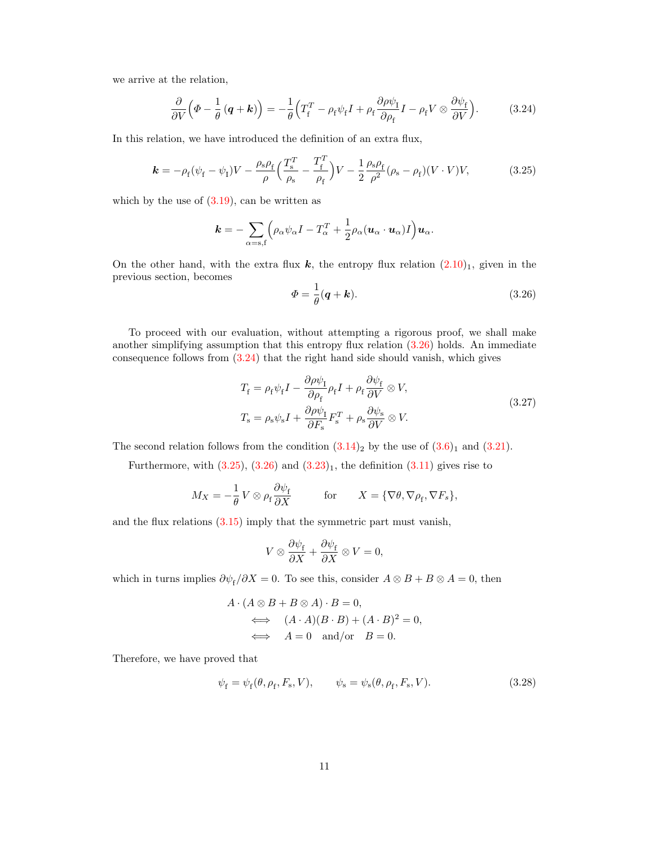we arrive at the relation,

$$
\frac{\partial}{\partial V} \left( \varPhi - \frac{1}{\theta} \left( \boldsymbol{q} + \boldsymbol{k} \right) \right) = -\frac{1}{\theta} \left( T_f^T - \rho_f \psi_f I + \rho_f \frac{\partial \rho \psi_I}{\partial \rho_f} I - \rho_f V \otimes \frac{\partial \psi_f}{\partial V} \right). \tag{3.24}
$$

In this relation, we have introduced the definition of an extra flux,

$$
\mathbf{k} = -\rho_{\rm f}(\psi_{\rm f} - \psi_{\rm I})V - \frac{\rho_{\rm s}\rho_{\rm f}}{\rho} \Big(\frac{T_{\rm s}^T}{\rho_{\rm s}} - \frac{T_{\rm f}^T}{\rho_{\rm f}}\Big)V - \frac{1}{2}\frac{\rho_{\rm s}\rho_{\rm f}}{\rho^2}(\rho_{\rm s} - \rho_{\rm f})(V \cdot V)V,\tag{3.25}
$$

which by the use of  $(3.19)$ , can be written as

$$
\mathbf{k} = -\sum_{\alpha=s,f} \left( \rho_\alpha \psi_\alpha I - T_\alpha^T + \frac{1}{2} \rho_\alpha (\mathbf{u}_\alpha \cdot \mathbf{u}_\alpha) I \right) \mathbf{u}_\alpha.
$$

On the other hand, with the extra flux k, the entropy flux relation  $(2.10)_1$  $(2.10)_1$ , given in the previous section, becomes

$$
\Phi = \frac{1}{\theta}(\mathbf{q} + \mathbf{k}).\tag{3.26}
$$

To proceed with our evaluation, without attempting a rigorous proof, we shall make another simplifying assumption that this entropy flux relation [\(3.26\)](#page-9-0) holds. An immediate consequence follows from [\(3.24\)](#page-9-0) that the right hand side should vanish, which gives

$$
T_{\rm f} = \rho_{\rm f} \psi_{\rm f} I - \frac{\partial \rho \psi_{\rm I}}{\partial \rho_{\rm f}} \rho_{\rm f} I + \rho_{\rm f} \frac{\partial \psi_{\rm f}}{\partial V} \otimes V,
$$
  
\n
$$
T_{\rm s} = \rho_{\rm s} \psi_{\rm s} I + \frac{\partial \rho \psi_{\rm I}}{\partial F_{\rm s}} F_{\rm s}^{T} + \rho_{\rm s} \frac{\partial \psi_{\rm s}}{\partial V} \otimes V.
$$
\n(3.27)

The second relation follows from the condition  $(3.14)_2$  $(3.14)_2$  by the use of  $(3.6)_1$  $(3.6)_1$  and  $(3.21)$ .

Furthermore, with  $(3.25)$ ,  $(3.26)$  and  $(3.23)_1$  $(3.23)_1$ , the definition  $(3.11)$  gives rise to

$$
M_X = -\frac{1}{\theta} V \otimes \rho_f \frac{\partial \psi_f}{\partial X} \quad \text{for} \quad X = \{ \nabla \theta, \nabla \rho_f, \nabla F_s \},
$$

and the flux relations [\(3.15\)](#page-6-0) imply that the symmetric part must vanish,

$$
V \otimes \frac{\partial \psi_{\rm f}}{\partial X} + \frac{\partial \psi_{\rm f}}{\partial X} \otimes V = 0,
$$

which in turns implies  $\partial \psi_f / \partial X = 0$ . To see this, consider  $A \otimes B + B \otimes A = 0$ , then

$$
A \cdot (A \otimes B + B \otimes A) \cdot B = 0,
$$
  

$$
\iff (A \cdot A)(B \cdot B) + (A \cdot B)^2 = 0,
$$
  

$$
\iff A = 0 \text{ and/or } B = 0.
$$

Therefore, we have proved that

$$
\psi_{\mathbf{f}} = \psi_{\mathbf{f}}(\theta, \rho_{\mathbf{f}}, F_{\mathbf{s}}, V), \qquad \psi_{\mathbf{s}} = \psi_{\mathbf{s}}(\theta, \rho_{\mathbf{f}}, F_{\mathbf{s}}, V). \tag{3.28}
$$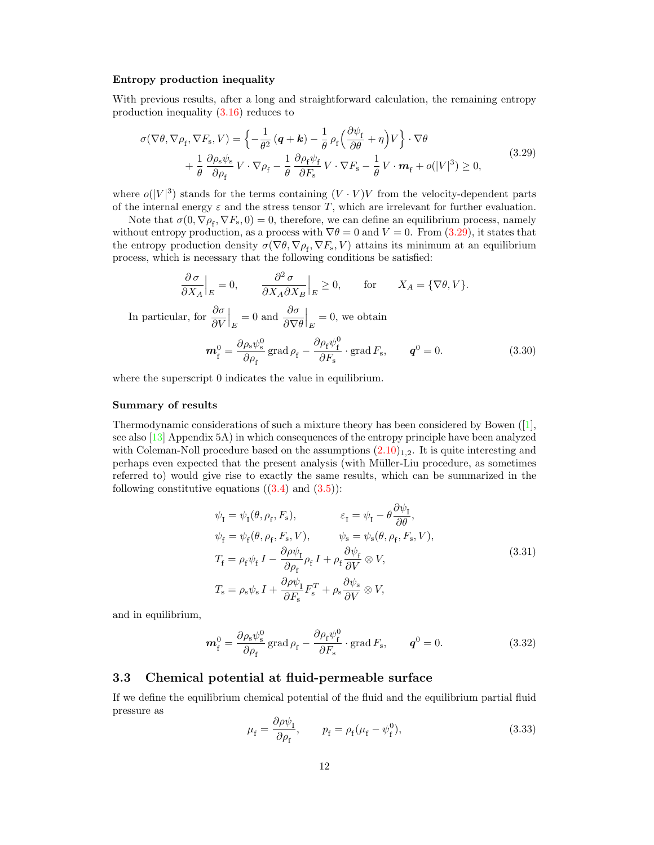#### Entropy production inequality

<span id="page-11-0"></span>With previous results, after a long and straightforward calculation, the remaining entropy production inequality [\(3.16\)](#page-6-0) reduces to

$$
\sigma(\nabla\theta, \nabla\rho_{\rm f}, \nabla F_{\rm s}, V) = \left\{-\frac{1}{\theta^2}(\boldsymbol{q} + \boldsymbol{k}) - \frac{1}{\theta}\rho_{\rm f}\left(\frac{\partial\psi_{\rm f}}{\partial\theta} + \eta\right)V\right\} \cdot \nabla\theta + \frac{1}{\theta}\frac{\partial\rho_{\rm s}\psi_{\rm s}}{\partial\rho_{\rm f}}V \cdot \nabla\rho_{\rm f} - \frac{1}{\theta}\frac{\partial\rho_{\rm f}\psi_{\rm f}}{\partial F_{\rm s}}V \cdot \nabla F_{\rm s} - \frac{1}{\theta}V \cdot \boldsymbol{m}_{\rm f} + o(|V|^3) \ge 0,
$$
\n(3.29)

where  $o(|V|^3)$  stands for the terms containing  $(V \cdot V)V$  from the velocity-dependent parts of the internal energy  $\varepsilon$  and the stress tensor T, which are irrelevant for further evaluation.

Note that  $\sigma(0, \nabla \rho_f, \nabla F_s, 0) = 0$ , therefore, we can define an equilibrium process, namely without entropy production, as a process with  $\nabla \theta = 0$  and  $V = 0$ . From [\(3.29\)](#page-11-0), it states that the entropy production density  $\sigma(\nabla\theta, \nabla\rho_f, \nabla F_s, V)$  attains its minimum at an equilibrium process, which is necessary that the following conditions be satisfied:

$$
\frac{\partial \sigma}{\partial X_A}\Big|_E = 0, \qquad \frac{\partial^2 \sigma}{\partial X_A \partial X_B}\Big|_E \ge 0, \qquad \text{for} \qquad X_A = \{\nabla \theta, V\}.
$$

In particular, for  $\frac{\partial \sigma}{\partial V}$  $\Big|_E = 0$  and  $\frac{\partial \sigma}{\partial \nabla \theta}$  $\Big|_E = 0$ , we obtain

$$
\boldsymbol{m}_{\rm f}^0 = \frac{\partial \rho_{\rm s} \psi_{\rm s}^0}{\partial \rho_{\rm f}} \operatorname{grad} \rho_{\rm f} - \frac{\partial \rho_{\rm f} \psi_{\rm f}^0}{\partial F_{\rm s}} \cdot \operatorname{grad} F_{\rm s}, \qquad \boldsymbol{q}^0 = 0. \tag{3.30}
$$

where the superscript 0 indicates the value in equilibrium.

#### Summary of results

<span id="page-11-2"></span>Thermodynamic considerations of such a mixture theory has been considered by Bowen ([\[1\]](#page-16-0), see also [\[13\]](#page-17-2) Appendix 5A) in which consequences of the entropy principle have been analyzed with Coleman-Noll procedure based on the assumptions  $(2.10)_{1,2}$  $(2.10)_{1,2}$ . It is quite interesting and perhaps even expected that the present analysis (with M¨uller-Liu procedure, as sometimes referred to) would give rise to exactly the same results, which can be summarized in the following constitutive equations  $((3.4)$  $((3.4)$  and  $(3.5))$  $(3.5))$ :

$$
\psi_{\rm I} = \psi_{\rm I}(\theta, \rho_{\rm f}, F_{\rm s}), \qquad \varepsilon_{\rm I} = \psi_{\rm I} - \theta \frac{\partial \psi_{\rm I}}{\partial \theta}, \n\psi_{\rm f} = \psi_{\rm f}(\theta, \rho_{\rm f}, F_{\rm s}, V), \qquad \psi_{\rm s} = \psi_{\rm s}(\theta, \rho_{\rm f}, F_{\rm s}, V), \nT_{\rm f} = \rho_{\rm f} \psi_{\rm f} I - \frac{\partial \rho \psi_{\rm I}}{\partial \rho_{\rm f}} \rho_{\rm f} I + \rho_{\rm f} \frac{\partial \psi_{\rm f}}{\partial V} \otimes V, \nT_{\rm s} = \rho_{\rm s} \psi_{\rm s} I + \frac{\partial \rho \psi_{\rm I}}{\partial F_{\rm s}} F_{\rm s}^T + \rho_{\rm s} \frac{\partial \psi_{\rm s}}{\partial V} \otimes V,
$$
\n(3.31)

and in equilibrium,

$$
\boldsymbol{m}_{\rm f}^0 = \frac{\partial \rho_{\rm s} \psi_{\rm s}^0}{\partial \rho_{\rm f}} \operatorname{grad} \rho_{\rm f} - \frac{\partial \rho_{\rm f} \psi_{\rm f}^0}{\partial F_{\rm s}} \cdot \operatorname{grad} F_{\rm s}, \qquad \boldsymbol{q}^0 = 0. \tag{3.32}
$$

### <span id="page-11-1"></span>3.3 Chemical potential at fluid-permeable surface

If we define the equilibrium chemical potential of the fluid and the equilibrium partial fluid pressure as

$$
\mu_{\rm f} = \frac{\partial \rho \psi_{\rm I}}{\partial \rho_{\rm f}}, \qquad p_{\rm f} = \rho_{\rm f} (\mu_{\rm f} - \psi_{\rm f}^0), \qquad (3.33)
$$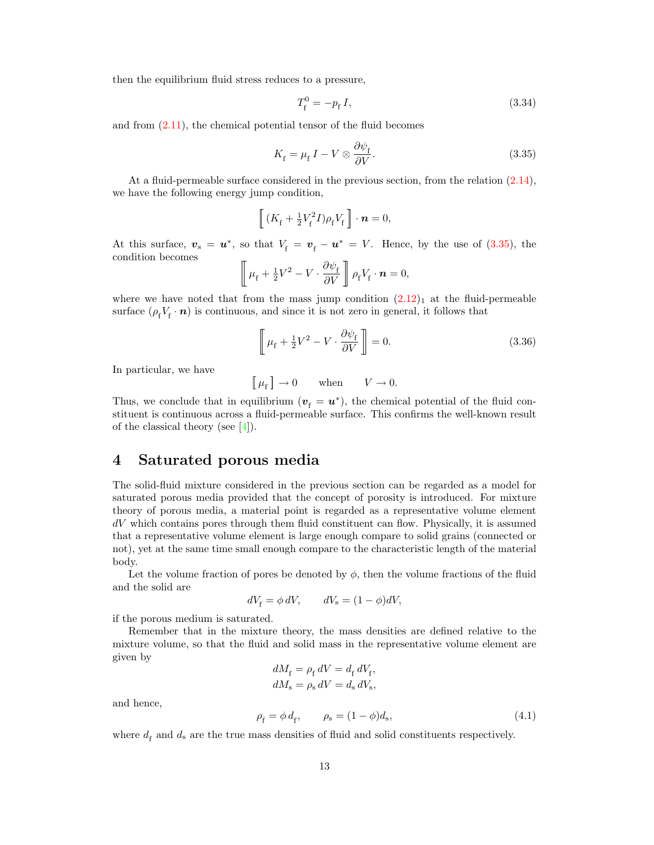then the equilibrium fluid stress reduces to a pressure,

$$
T_{\rm f}^0 = -p_{\rm f} I,\tag{3.34}
$$

and from  $(2.11)$ , the chemical potential tensor of the fluid becomes

$$
K_{\rm f} = \mu_{\rm f} I - V \otimes \frac{\partial \psi_{\rm f}}{\partial V}.
$$
\n(3.35)

At a fluid-permeable surface considered in the previous section, from the relation [\(2.14\)](#page-4-1), we have the following energy jump condition,

$$
\left[ \left( K_{\rm f} + \frac{1}{2} V_{\rm f}^2 I \right) \rho_{\rm f} V_{\rm f} \right] \cdot \boldsymbol{n} = 0,
$$

At this surface,  $v_s = u^*$ , so that  $V_f = v_f - u^* = V$ . Hence, by the use of [\(3.35\)](#page-11-1), the condition becomes

$$
\left[\!\!\left[ \mu_{\rm f} + \frac{1}{2}V^2 - V \cdot \frac{\partial \psi_{\rm f}}{\partial V} \right]\!\!\right] \rho_{\rm f} V_{\rm f} \cdot \boldsymbol{n} = 0,
$$

where we have noted that from the mass jump condition  $(2.12)<sub>1</sub>$  $(2.12)<sub>1</sub>$  at the fluid-permeable surface  $(\rho_f V_f \cdot \boldsymbol{n})$  is continuous, and since it is not zero in general, it follows that

$$
\left[\!\!\left[\mu_{\rm f} + \frac{1}{2}V^2 - V \cdot \frac{\partial \psi_{\rm f}}{\partial V}\right]\!\!\right] = 0. \tag{3.36}
$$

In particular, we have

$$
\left[\!\!\left[ \, \mu_{\mathrm{f}} \, \right]\!\!\right] \rightarrow 0 \qquad \text{when} \qquad V \rightarrow 0.
$$

Thus, we conclude that in equilibrium  $(v_f = u^*)$ , the chemical potential of the fluid constituent is continuous across a fluid-permeable surface. This confirms the well-known result of the classical theory (see  $[4]$ ).

## <span id="page-12-0"></span>4 Saturated porous media

The solid-fluid mixture considered in the previous section can be regarded as a model for saturated porous media provided that the concept of porosity is introduced. For mixture theory of porous media, a material point is regarded as a representative volume element  $dV$  which contains pores through them fluid constituent can flow. Physically, it is assumed that a representative volume element is large enough compare to solid grains (connected or not), yet at the same time small enough compare to the characteristic length of the material body.

Let the volume fraction of pores be denoted by  $\phi$ , then the volume fractions of the fluid and the solid are

$$
dV_{\rm f} = \phi \, dV, \qquad dV_{\rm s} = (1 - \phi) dV,
$$

if the porous medium is saturated.

Remember that in the mixture theory, the mass densities are defined relative to the mixture volume, so that the fluid and solid mass in the representative volume element are given by

$$
dM_{\rm f} = \rho_{\rm f} dV = d_{\rm f} dV_{\rm f},
$$
  

$$
dM_{\rm s} = \rho_{\rm s} dV = d_{\rm s} dV_{\rm s},
$$

and hence,

$$
\rho_{\rm f} = \phi \, d_{\rm f}, \qquad \rho_{\rm s} = (1 - \phi) d_{\rm s}, \tag{4.1}
$$

where  $d_{\rm f}$  and  $d_{\rm s}$  are the true mass densities of fluid and solid constituents respectively.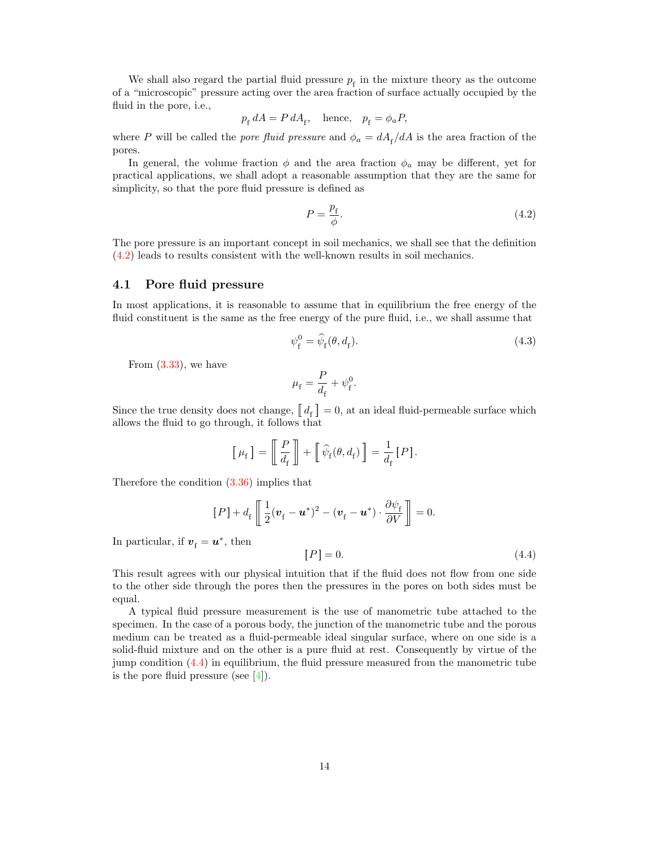We shall also regard the partial fluid pressure  $p_f$  in the mixture theory as the outcome of a "microscopic" pressure acting over the area fraction of surface actually occupied by the fluid in the pore, i.e.,

$$
p_{\rm f} dA = P dA_{\rm f}, \quad {\rm hence,} \quad p_{\rm f} = \phi_a P,
$$

where P will be called the *pore fluid pressure* and  $\phi_a = dA_f/dA$  is the area fraction of the pores.

In general, the volume fraction  $\phi$  and the area fraction  $\phi_a$  may be different, yet for practical applications, we shall adopt a reasonable assumption that they are the same for simplicity, so that the pore fluid pressure is defined as

$$
P = \frac{p_{\rm f}}{\phi}.\tag{4.2}
$$

The pore pressure is an important concept in soil mechanics, we shall see that the definition [\(4.2\)](#page-12-0) leads to results consistent with the well-known results in soil mechanics.

#### <span id="page-13-0"></span>4.1 Pore fluid pressure

In most applications, it is reasonable to assume that in equilibrium the free energy of the fluid constituent is the same as the free energy of the pure fluid, i.e., we shall assume that

$$
\psi_{\mathbf{f}}^{0} = \widehat{\psi}_{\mathbf{f}}(\theta, d_{\mathbf{f}}). \tag{4.3}
$$

From  $(3.33)$ , we have

$$
\mu_{\rm f} = \frac{P}{d_{\rm f}} + \psi_{\rm f}^0.
$$

Since the true density does not change,  $\llbracket d_f \rrbracket = 0$ , at an ideal fluid-permeable surface which allows the fluid to go through, it follows that

$$
\left[\!\!\left[ \, \mu_{\rm f} \, \right]\!\!\right] = \left[\!\!\left[ \, \frac{P}{d_{\rm f}} \, \right]\!\!\right] + \left[\!\!\left[ \, \widehat{\psi}_{\rm f}(\theta, d_{\rm f}) \, \right]\!\!\right] = \frac{1}{d_{\rm f}} \left[\, P \, \right].
$$

Therefore the condition [\(3.36\)](#page-11-1) implies that

$$
[P] + d_f \left[ \frac{1}{2} (\boldsymbol{v}_f - \boldsymbol{u}^*)^2 - (\boldsymbol{v}_f - \boldsymbol{u}^*) \cdot \frac{\partial \psi_f}{\partial V} \right] = 0.
$$

In particular, if  $v_f = u^*$ , then

$$
[P] = 0.\t\t(4.4)
$$

This result agrees with our physical intuition that if the fluid does not flow from one side to the other side through the pores then the pressures in the pores on both sides must be equal.

A typical fluid pressure measurement is the use of manometric tube attached to the specimen. In the case of a porous body, the junction of the manometric tube and the porous medium can be treated as a fluid-permeable ideal singular surface, where on one side is a solid-fluid mixture and on the other is a pure fluid at rest. Consequently by virtue of the jump condition  $(4.4)$  in equilibrium, the fluid pressure measured from the manometric tube is the pore fluid pressure (see  $[4]$ ).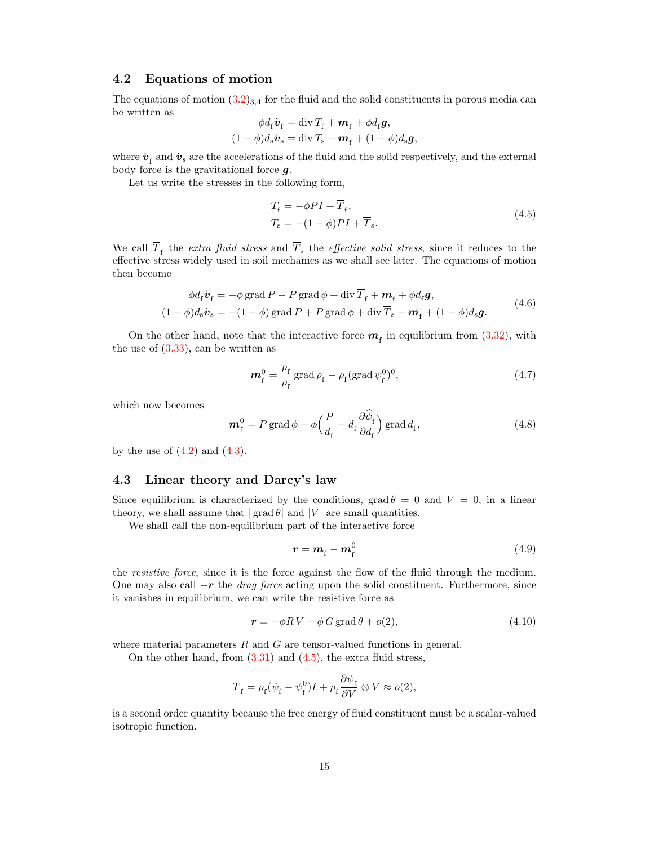#### <span id="page-14-0"></span>4.2 Equations of motion

The equations of motion  $(3.2)_{3,4}$  $(3.2)_{3,4}$  for the fluid and the solid constituents in porous media can be written as

$$
\phi d_{\rm f} \dot{\boldsymbol{v}}_{\rm f} = \text{div} \, T_{\rm f} + \boldsymbol{m}_{\rm f} + \phi d_{\rm f} \boldsymbol{g},
$$

$$
(1 - \phi) d_{\rm s} \dot{\boldsymbol{v}}_{\rm s} = \text{div} \, T_{\rm s} - \boldsymbol{m}_{\rm f} + (1 - \phi) d_{\rm s} \boldsymbol{g},
$$

where  $\dot{\mathbf{v}}_{\rm f}$  and  $\dot{\mathbf{v}}_{\rm s}$  are the accelerations of the fluid and the solid respectively, and the external body force is the gravitational force g.

Let us write the stresses in the following form,

$$
T_{\rm f} = -\phi P I + \overline{T}_{\rm f},
$$
  
\n
$$
T_{\rm s} = -(1 - \phi) P I + \overline{T}_{\rm s}.
$$
\n(4.5)

We call  $T_f$  the *extra fluid stress* and  $T_s$  the *effective solid stress*, since it reduces to the effective stress widely used in soil mechanics as we shall see later. The equations of motion then become

$$
\phi d_{\rm f} \dot{\mathbf{v}}_{\rm f} = -\phi \operatorname{grad} P - P \operatorname{grad} \phi + \operatorname{div} \overline{T}_{\rm f} + \mathbf{m}_{\rm f} + \phi d_{\rm f} \mathbf{g},
$$
  
(1 -  $\phi$ ) $d_{\rm s} \dot{\mathbf{v}}_{\rm s} = -(1 - \phi) \operatorname{grad} P + P \operatorname{grad} \phi + \operatorname{div} \overline{T}_{\rm s} - \mathbf{m}_{\rm f} + (1 - \phi) d_{\rm s} \mathbf{g}.$  (4.6)

On the other hand, note that the interactive force  $m<sub>f</sub>$  in equilibrium from [\(3.32\)](#page-11-2), with the use of  $(3.33)$ , can be written as

$$
\boldsymbol{m}_{\rm f}^0 = \frac{p_{\rm f}}{\rho_{\rm f}} \operatorname{grad}\rho_{\rm f} - \rho_{\rm f} (\operatorname{grad}\psi_{\rm f}^0)^0, \tag{4.7}
$$

which now becomes

$$
\boldsymbol{m}_{\rm f}^0 = P \operatorname{grad} \phi + \phi \Big( \frac{P}{d_{\rm f}} - d_{\rm f} \frac{\partial \hat{\psi}_{\rm f}}{\partial d_{\rm f}} \Big) \operatorname{grad} d_{\rm f},\tag{4.8}
$$

by the use of  $(4.2)$  and  $(4.3)$ .

### <span id="page-14-1"></span>4.3 Linear theory and Darcy's law

Since equilibrium is characterized by the conditions, grad  $\theta = 0$  and  $V = 0$ , in a linear theory, we shall assume that  $|\text{grad }\theta|$  and  $|V|$  are small quantities.

We shall call the non-equilibrium part of the interactive force

$$
r = mf - mf0
$$
 (4.9)

the *resistive force*, since it is the force against the flow of the fluid through the medium. One may also call  $-r$  the *drag force* acting upon the solid constituent. Furthermore, since it vanishes in equilibrium, we can write the resistive force as

$$
\mathbf{r} = -\phi R V - \phi G \operatorname{grad} \theta + o(2),\tag{4.10}
$$

where material parameters  $R$  and  $G$  are tensor-valued functions in general.

On the other hand, from  $(3.31)$  and  $(4.5)$ , the extra fluid stress,

$$
\overline{T}_{\rm f} = \rho_{\rm f}(\psi_{\rm f} - \psi_{\rm f}^0)I + \rho_{\rm f}\frac{\partial \psi_{\rm f}}{\partial V} \otimes V \approx o(2),
$$

is a second order quantity because the free energy of fluid constituent must be a scalar-valued isotropic function.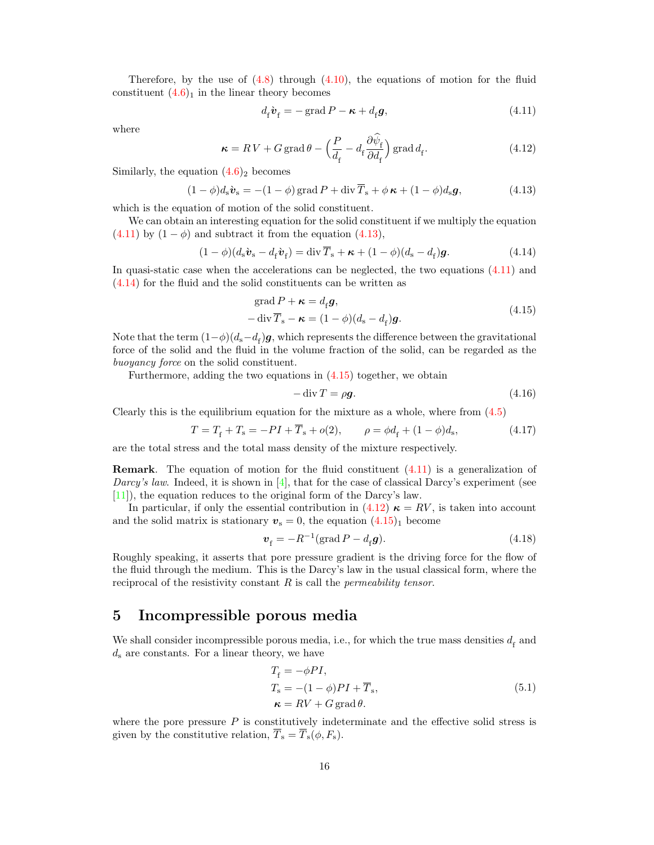Therefore, by the use of  $(4.8)$  through  $(4.10)$ , the equations of motion for the fluid constituent  $(4.6)<sub>1</sub>$  $(4.6)<sub>1</sub>$  in the linear theory becomes

$$
d_{\rm f} \dot{\boldsymbol{v}}_{\rm f} = -\operatorname{grad} P - \boldsymbol{\kappa} + d_{\rm f} \boldsymbol{g},\tag{4.11}
$$

where

$$
\kappa = RV + G \operatorname{grad} \theta - \left(\frac{P}{d_{\mathrm{f}}} - d_{\mathrm{f}} \frac{\partial \psi_{\mathrm{f}}}{\partial d_{\mathrm{f}}}\right) \operatorname{grad} d_{\mathrm{f}}.\tag{4.12}
$$

Similarly, the equation  $(4.6)_2$  $(4.6)_2$  becomes

$$
(1 - \phi)d_s\dot{\boldsymbol{v}}_s = -(1 - \phi)\operatorname{grad} P + \operatorname{div} \overline{T}_s + \phi \boldsymbol{\kappa} + (1 - \phi)d_s\boldsymbol{g},\tag{4.13}
$$

which is the equation of motion of the solid constituent.

We can obtain an interesting equation for the solid constituent if we multiply the equation [\(4.11\)](#page-14-1) by  $(1 - \phi)$  and subtract it from the equation [\(4.13\)](#page-14-1),

$$
(1 - \phi)(d_s \mathbf{\hat{v}}_s - d_f \mathbf{\hat{v}}_f) = \text{div}\,\overline{T}_s + \boldsymbol{\kappa} + (1 - \phi)(d_s - d_f)\boldsymbol{g}.
$$
 (4.14)

In quasi-static case when the accelerations can be neglected, the two equations [\(4.11\)](#page-14-1) and [\(4.14\)](#page-14-1) for the fluid and the solid constituents can be written as

$$
\begin{aligned} \text{grad } P + \kappa &= d_{\text{f}} g, \\ -\operatorname{div} \overline{T}_{\text{s}} - \kappa &= (1 - \phi)(d_{\text{s}} - d_{\text{f}})g. \end{aligned} \tag{4.15}
$$

Note that the term  $(1-\phi)(d_{\rm s}-d_{\rm f})\bm{g}$ , which represents the difference between the gravitational force of the solid and the fluid in the volume fraction of the solid, can be regarded as the buoyancy force on the solid constituent.

Furthermore, adding the two equations in [\(4.15\)](#page-14-1) together, we obtain

$$
-\operatorname{div} T = \rho \mathbf{g}.\tag{4.16}
$$

Clearly this is the equilibrium equation for the mixture as a whole, where from [\(4.5\)](#page-14-0)

$$
T = T_{\rm f} + T_{\rm s} = -PI + \overline{T}_{\rm s} + o(2), \qquad \rho = \phi d_{\rm f} + (1 - \phi)d_{\rm s}, \tag{4.17}
$$

are the total stress and the total mass density of the mixture respectively.

**Remark.** The equation of motion for the fluid constituent  $(4.11)$  is a generalization of Darcy's law. Indeed, it is shown in  $[4]$ , that for the case of classical Darcy's experiment (see [\[11\]](#page-17-7)), the equation reduces to the original form of the Darcy's law.

In particular, if only the essential contribution in  $(4.12) \kappa = RV$  $(4.12) \kappa = RV$ , is taken into account and the solid matrix is stationary  $v_s = 0$ , the equation  $(4.15)_1$  $(4.15)_1$  become

$$
\boldsymbol{v}_{\rm f} = -R^{-1}(\text{grad}\,P - d_{\rm f}\boldsymbol{g}).\tag{4.18}
$$

Roughly speaking, it asserts that pore pressure gradient is the driving force for the flow of the fluid through the medium. This is the Darcy's law in the usual classical form, where the reciprocal of the resistivity constant  $R$  is call the *permeability tensor*.

## <span id="page-15-0"></span>5 Incompressible porous media

We shall consider incompressible porous media, i.e., for which the true mass densities  $d_{\rm f}$  and  $d_s$  are constants. For a linear theory, we have

$$
T_{\rm f} = -\phi PI,
$$
  
\n
$$
T_{\rm s} = -(1 - \phi)PI + \overline{T}_{\rm s},
$$
  
\n
$$
\kappa = RV + G \text{ grad } \theta.
$$
\n(5.1)

where the pore pressure  $P$  is constitutively indeterminate and the effective solid stress is given by the constitutive relation,  $\overline{T}_{s} = \overline{T}_{s}(\phi, F_{s}).$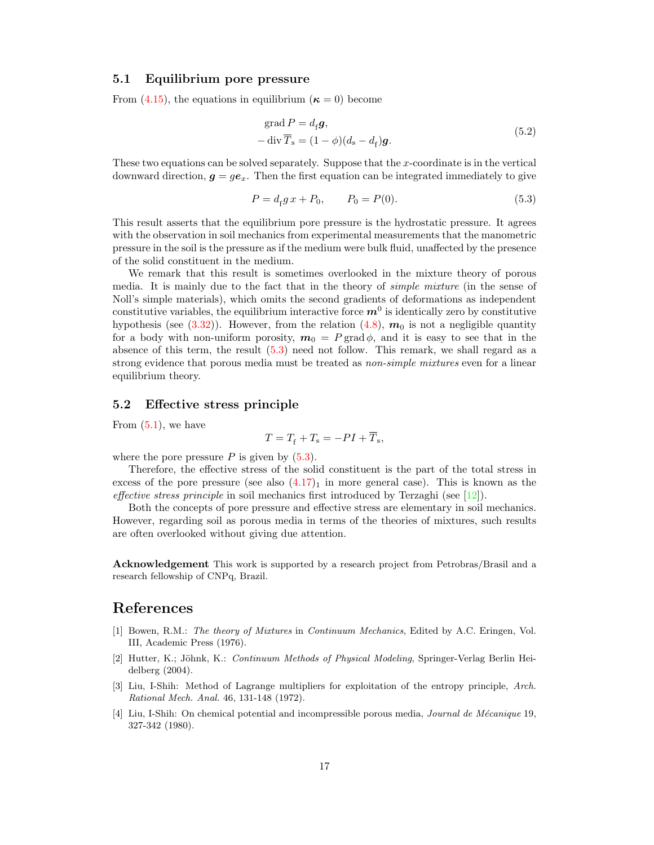### <span id="page-16-4"></span>5.1 Equilibrium pore pressure

From [\(4.15\)](#page-14-1), the equations in equilibrium ( $\kappa = 0$ ) become

$$
\begin{aligned} \text{grad } P &= d_{\text{f}} \mathbf{g}, \\ -\operatorname{div} \overline{T}_{\text{s}} &= (1 - \phi)(d_{\text{s}} - d_{\text{f}}) \mathbf{g}. \end{aligned} \tag{5.2}
$$

These two equations can be solved separately. Suppose that the  $x$ -coordinate is in the vertical downward direction,  $g = ge_x$ . Then the first equation can be integrated immediately to give

$$
P = d_f g x + P_0, \qquad P_0 = P(0). \tag{5.3}
$$

This result asserts that the equilibrium pore pressure is the hydrostatic pressure. It agrees with the observation in soil mechanics from experimental measurements that the manometric pressure in the soil is the pressure as if the medium were bulk fluid, unaffected by the presence of the solid constituent in the medium.

We remark that this result is sometimes overlooked in the mixture theory of porous media. It is mainly due to the fact that in the theory of simple mixture (in the sense of Noll's simple materials), which omits the second gradients of deformations as independent constitutive variables, the equilibrium interactive force  $m^0$  is identically zero by constitutive hypothesis (see  $(3.32)$ ). However, from the relation  $(4.8)$ ,  $m_0$  is not a negligible quantity for a body with non-uniform porosity,  $m_0 = P$  grad  $\phi$ , and it is easy to see that in the absence of this term, the result [\(5.3\)](#page-16-4) need not follow. This remark, we shall regard as a strong evidence that porous media must be treated as non-simple mixtures even for a linear equilibrium theory.

#### 5.2 Effective stress principle

From  $(5.1)$ , we have

$$
T = T_{\rm f} + T_{\rm s} = -PI + \overline{T}_{\rm s},
$$

where the pore pressure  $P$  is given by  $(5.3)$ .

Therefore, the effective stress of the solid constituent is the part of the total stress in excess of the pore pressure (see also 
$$
(4.17)_1
$$
 in more general case). This is known as the effective stress principle in soil mechanics first introduced by Teraghi (see [12]).

Both the concepts of pore pressure and effective stress are elementary in soil mechanics. However, regarding soil as porous media in terms of the theories of mixtures, such results are often overlooked without giving due attention.

Acknowledgement This work is supported by a research project from Petrobras/Brasil and a research fellowship of CNPq, Brazil.

## References

- <span id="page-16-0"></span>[1] Bowen, R.M.: The theory of Mixtures in Continuum Mechanics, Edited by A.C. Eringen, Vol. III, Academic Press (1976).
- <span id="page-16-3"></span>[2] Hutter, K.; Jöhnk, K.: Continuum Methods of Physical Modeling, Springer-Verlag Berlin Heidelberg (2004).
- <span id="page-16-2"></span>[3] Liu, I-Shih: Method of Lagrange multipliers for exploitation of the entropy principle, Arch. Rational Mech. Anal. 46, 131-148 (1972).
- <span id="page-16-1"></span>[4] Liu, I-Shih: On chemical potential and incompressible porous media, Journal de Mécanique 19, 327-342 (1980).